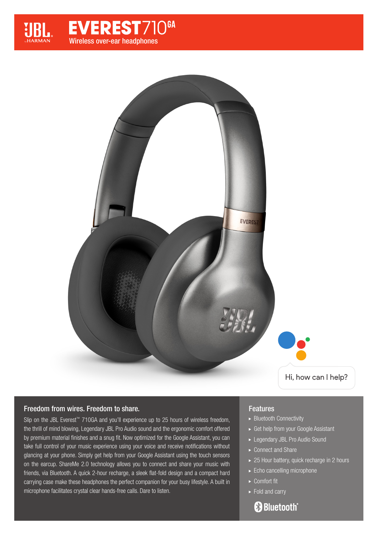



#### Freedom from wires. Freedom to share.

Slip on the JBL Everest™ 710GA and you'll experience up to 25 hours of wireless freedom, the thrill of mind blowing, Legendary JBL Pro Audio sound and the ergonomic comfort offered by premium material finishes and a snug fit. Now optimized for the Google Assistant, you can take full control of your music experience using your voice and receive notifications without glancing at your phone. Simply get help from your Google Assistant using the touch sensors on the earcup. ShareMe 2.0 technology allows you to connect and share your music with friends, via Bluetooth. A quick 2-hour recharge, a sleek flat-fold design and a compact hard carrying case make these headphones the perfect companion for your busy lifestyle. A built in microphone facilitates crystal clear hands-free calls. Dare to listen.

#### Features

- ▶ Bluetooth Connectivity
- Get help from your Google Assistant
- ► Legendary JBL Pro Audio Sound
- ► Connect and Share
- ▶ 25 Hour battery, quick recharge in 2 hours
- Echo cancelling microphone
- ► Comfort fit
- ► Fold and carry

## **& Bluetooth**®